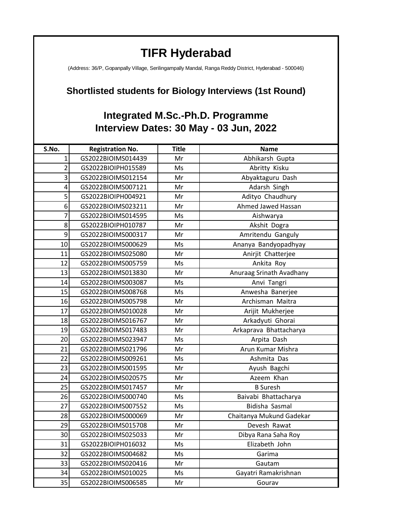## **TIFR Hyderabad**

(Address: 36/P, Gopanpally Village, Serilingampally Mandal, Ranga Reddy District, Hyderabad - 500046)

## **Shortlisted students for Biology Interviews (1st Round)**

## **Integrated M.Sc.-Ph.D. Programme Interview Dates: 30 May - 03 Jun, 2022**

| S.No.          | <b>Registration No.</b> | <b>Title</b> | <b>Name</b>              |
|----------------|-------------------------|--------------|--------------------------|
| $\mathbf{1}$   | GS2022BIOIMS014439      | Mr           | Abhikarsh Gupta          |
| $\overline{2}$ | GS2022BIOIPH015589      | Ms           | Abritty Kisku            |
| $\overline{3}$ | GS2022BIOIMS012154      | Mr           | Abyaktaguru Dash         |
| $\overline{4}$ | GS2022BIOIMS007121      | Mr           | Adarsh Singh             |
| 5              | GS2022BIOIPH004921      | Mr           | Adityo Chaudhury         |
| 6              | GS2022BIOIMS023211      | Mr           | Ahmed Jawed Hassan       |
| $\overline{7}$ | GS2022BIOIMS014595      | Ms           | Aishwarya                |
| 8              | GS2022BIOIPH010787      | Mr           | Akshit Dogra             |
| 9              | GS2022BIOIMS000317      | Mr           | Amritendu Ganguly        |
| 10             | GS2022BIOIMS000629      | Ms           | Ananya Bandyopadhyay     |
| 11             | GS2022BIOIMS025080      | Mr           | Anirjit Chatterjee       |
| 12             | GS2022BIOIMS005759      | Ms           | Ankita Roy               |
| 13             | GS2022BIOIMS013830      | Mr           | Anuraag Srinath Avadhany |
| 14             | GS2022BIOIMS003087      | Ms           | Anvi Tangri              |
| 15             | GS2022BIOIMS008768      | Ms           | Anwesha Banerjee         |
| 16             | GS2022BIOIMS005798      | Mr           | Archisman Maitra         |
| 17             | GS2022BIOIMS010028      | Mr           | Arijit Mukherjee         |
| 18             | GS2022BIOIMS016767      | Mr           | Arkadyuti Ghorai         |
| 19             | GS2022BIOIMS017483      | Mr           | Arkaprava Bhattacharya   |
| 20             | GS2022BIOIMS023947      | Ms           | Arpita Dash              |
| 21             | GS2022BIOIMS021796      | Mr           | Arun Kumar Mishra        |
| 22             | GS2022BIOIMS009261      | Ms           | Ashmita Das              |
| 23             | GS2022BIOIMS001595      | Mr           | Ayush Bagchi             |
| 24             | GS2022BIOIMS020575      | Mr           | Azeem Khan               |
| 25             | GS2022BIOIMS017457      | Mr           | <b>B</b> Suresh          |
| 26             | GS2022BIOIMS000740      | Ms           | Baivabi Bhattacharya     |
| 27             | GS2022BIOIMS007552      | Ms           | Bidisha Sasmal           |
| 28             | GS2022BIOIMS000069      | Mr           | Chaitanya Mukund Gadekar |
| 29             | GS2022BIOIMS015708      | Mr           | Devesh Rawat             |
| 30             | GS2022BIOIMS025033      | Mr           | Dibya Rana Saha Roy      |
| 31             | GS2022BIOIPH016032      | Ms           | Elizabeth John           |
| 32             | GS2022BIOIMS004682      | Ms           | Garima                   |
| 33             | GS2022BIOIMS020416      | Mr           | Gautam                   |
| 34             | GS2022BIOIMS010025      | Ms           | Gayatri Ramakrishnan     |
| 35             | GS2022BIOIMS006585      | Mr           | Gourav                   |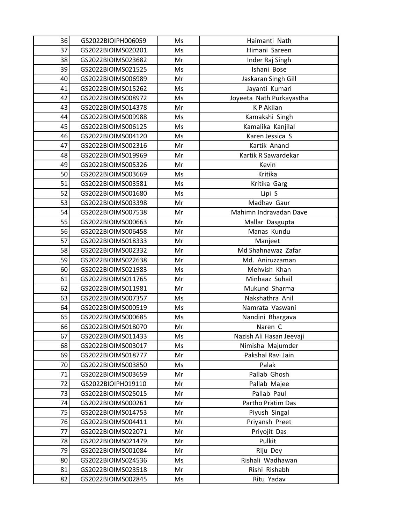| 36 | GS2022BIOIPH006059 | Ms | Haimanti Nath            |
|----|--------------------|----|--------------------------|
| 37 | GS2022BIOIMS020201 | Ms | Himani Sareen            |
| 38 | GS2022BIOIMS023682 | Mr | Inder Raj Singh          |
| 39 | GS2022BIOIMS021525 | Ms | Ishani Bose              |
| 40 | GS2022BIOIMS006989 | Mr | Jaskaran Singh Gill      |
| 41 | GS2022BIOIMS015262 | Ms | Jayanti Kumari           |
| 42 | GS2022BIOIMS008972 | Ms | Joyeeta Nath Purkayastha |
| 43 | GS2022BIOIMS014378 | Mr | K P Akilan               |
| 44 | GS2022BIOIMS009988 | Ms | Kamakshi Singh           |
| 45 | GS2022BIOIMS006125 | Ms | Kamalika Kanjilal        |
| 46 | GS2022BIOIMS004120 | Ms | Karen Jessica S          |
| 47 | GS2022BIOIMS002316 | Mr | Kartik Anand             |
| 48 | GS2022BIOIMS019969 | Mr | Kartik R Sawardekar      |
| 49 | GS2022BIOIMS005326 | Mr | Kevin                    |
| 50 | GS2022BIOIMS003669 | Ms | Kritika                  |
| 51 | GS2022BIOIMS003581 | Ms | Kritika Garg             |
| 52 | GS2022BIOIMS001680 | Ms | Lipi S                   |
| 53 | GS2022BIOIMS003398 | Mr | Madhav Gaur              |
| 54 | GS2022BIOIMS007538 | Mr | Mahimn Indravadan Dave   |
| 55 | GS2022BIOIMS000663 | Mr | Mallar Dasgupta          |
| 56 | GS2022BIOIMS006458 | Mr | Manas Kundu              |
| 57 | GS2022BIOIMS018333 | Mr | Manjeet                  |
| 58 | GS2022BIOIMS002332 | Mr | Md Shahnawaz Zafar       |
| 59 | GS2022BIOIMS022638 | Mr | Md. Aniruzzaman          |
| 60 | GS2022BIOIMS021983 | Ms | Mehvish Khan             |
| 61 | GS2022BIOIMS011765 | Mr | Minhaaz Suhail           |
| 62 | GS2022BIOIMS011981 | Mr | Mukund Sharma            |
| 63 | GS2022BIOIMS007357 | Ms | Nakshathra Anil          |
| 64 | GS2022BIOIMS000519 | Ms | Namrata Vaswani          |
| 65 | GS2022BIOIMS000685 | Ms | Nandini Bhargava         |
| 66 | GS2022BIOIMS018070 | Mr | Naren C                  |
| 67 | GS2022BIOIMS011433 | Ms | Nazish Ali Hasan Jeevaji |
| 68 | GS2022BIOIMS003017 | Ms | Nimisha Majumder         |
| 69 | GS2022BIOIMS018777 | Mr | Pakshal Ravi Jain        |
| 70 | GS2022BIOIMS003850 | Ms | Palak                    |
| 71 | GS2022BIOIMS003659 | Mr | Pallab Ghosh             |
| 72 | GS2022BIOIPH019110 | Mr | Pallab Majee             |
| 73 | GS2022BIOIMS025015 | Mr | Pallab Paul              |
| 74 | GS2022BIOIMS000261 | Mr | Partho Pratim Das        |
| 75 | GS2022BIOIMS014753 | Mr | Piyush Singal            |
| 76 | GS2022BIOIMS004411 | Mr | Priyansh Preet           |
| 77 | GS2022BIOIMS022071 | Mr | Priyojit Das             |
| 78 | GS2022BIOIMS021479 | Mr | Pulkit                   |
| 79 | GS2022BIOIMS001084 | Mr | Riju Dey                 |
| 80 | GS2022BIOIMS024536 | Ms | Rishali Wadhawan         |
| 81 | GS2022BIOIMS023518 | Mr | Rishi Rishabh            |
| 82 | GS2022BIOIMS002845 | Ms | Ritu Yadav               |
|    |                    |    |                          |